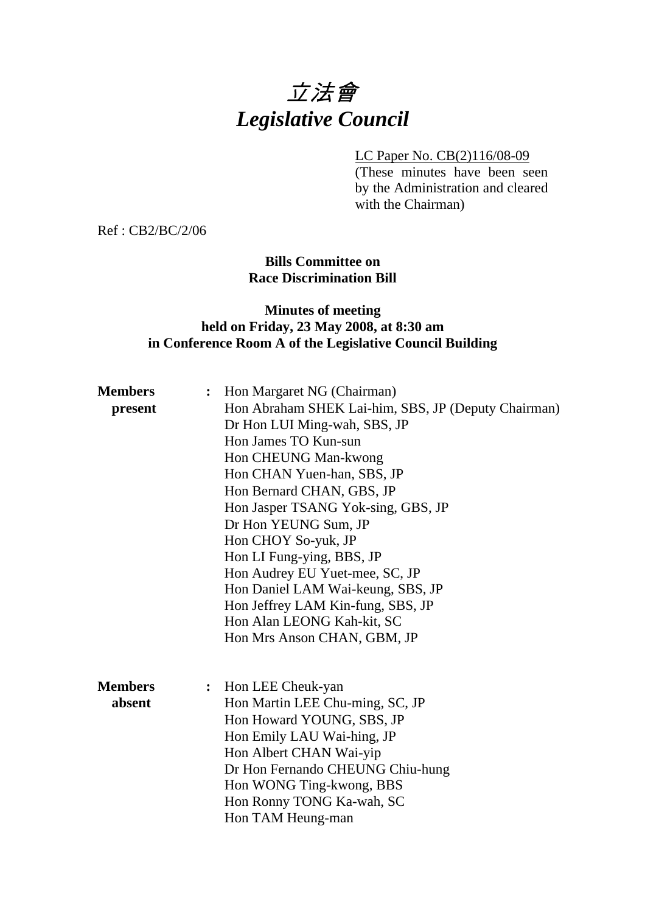# 立法會 *Legislative Council*

## LC Paper No. CB(2)116/08-09

(These minutes have been seen by the Administration and cleared with the Chairman)

Ref : CB2/BC/2/06

## **Bills Committee on Race Discrimination Bill**

## **Minutes of meeting held on Friday, 23 May 2008, at 8:30 am in Conference Room A of the Legislative Council Building**

| Hon Abraham SHEK Lai-him, SBS, JP (Deputy Chairman)<br>present<br>Dr Hon LUI Ming-wah, SBS, JP<br>Hon James TO Kun-sun<br>Hon CHEUNG Man-kwong<br>Hon CHAN Yuen-han, SBS, JP<br>Hon Bernard CHAN, GBS, JP<br>Hon Jasper TSANG Yok-sing, GBS, JP<br>Dr Hon YEUNG Sum, JP<br>Hon CHOY So-yuk, JP<br>Hon LI Fung-ying, BBS, JP<br>Hon Audrey EU Yuet-mee, SC, JP<br>Hon Daniel LAM Wai-keung, SBS, JP<br>Hon Jeffrey LAM Kin-fung, SBS, JP<br>Hon Alan LEONG Kah-kit, SC<br>Hon Mrs Anson CHAN, GBM, JP<br><b>Members</b><br>Hon LEE Cheuk-yan<br>$\ddot{\cdot}$<br>absent<br>Hon Martin LEE Chu-ming, SC, JP<br>Hon Howard YOUNG, SBS, JP<br>Hon Emily LAU Wai-hing, JP<br>Hon Albert CHAN Wai-yip | <b>Members</b> | : Hon Margaret NG (Chairman)     |
|--------------------------------------------------------------------------------------------------------------------------------------------------------------------------------------------------------------------------------------------------------------------------------------------------------------------------------------------------------------------------------------------------------------------------------------------------------------------------------------------------------------------------------------------------------------------------------------------------------------------------------------------------------------------------------------------------|----------------|----------------------------------|
|                                                                                                                                                                                                                                                                                                                                                                                                                                                                                                                                                                                                                                                                                                  |                |                                  |
|                                                                                                                                                                                                                                                                                                                                                                                                                                                                                                                                                                                                                                                                                                  |                |                                  |
|                                                                                                                                                                                                                                                                                                                                                                                                                                                                                                                                                                                                                                                                                                  |                |                                  |
|                                                                                                                                                                                                                                                                                                                                                                                                                                                                                                                                                                                                                                                                                                  |                |                                  |
|                                                                                                                                                                                                                                                                                                                                                                                                                                                                                                                                                                                                                                                                                                  |                |                                  |
|                                                                                                                                                                                                                                                                                                                                                                                                                                                                                                                                                                                                                                                                                                  |                |                                  |
|                                                                                                                                                                                                                                                                                                                                                                                                                                                                                                                                                                                                                                                                                                  |                |                                  |
|                                                                                                                                                                                                                                                                                                                                                                                                                                                                                                                                                                                                                                                                                                  |                |                                  |
|                                                                                                                                                                                                                                                                                                                                                                                                                                                                                                                                                                                                                                                                                                  |                |                                  |
|                                                                                                                                                                                                                                                                                                                                                                                                                                                                                                                                                                                                                                                                                                  |                |                                  |
|                                                                                                                                                                                                                                                                                                                                                                                                                                                                                                                                                                                                                                                                                                  |                |                                  |
|                                                                                                                                                                                                                                                                                                                                                                                                                                                                                                                                                                                                                                                                                                  |                |                                  |
|                                                                                                                                                                                                                                                                                                                                                                                                                                                                                                                                                                                                                                                                                                  |                |                                  |
|                                                                                                                                                                                                                                                                                                                                                                                                                                                                                                                                                                                                                                                                                                  |                |                                  |
|                                                                                                                                                                                                                                                                                                                                                                                                                                                                                                                                                                                                                                                                                                  |                |                                  |
|                                                                                                                                                                                                                                                                                                                                                                                                                                                                                                                                                                                                                                                                                                  |                |                                  |
|                                                                                                                                                                                                                                                                                                                                                                                                                                                                                                                                                                                                                                                                                                  |                |                                  |
|                                                                                                                                                                                                                                                                                                                                                                                                                                                                                                                                                                                                                                                                                                  |                |                                  |
|                                                                                                                                                                                                                                                                                                                                                                                                                                                                                                                                                                                                                                                                                                  |                |                                  |
|                                                                                                                                                                                                                                                                                                                                                                                                                                                                                                                                                                                                                                                                                                  |                |                                  |
|                                                                                                                                                                                                                                                                                                                                                                                                                                                                                                                                                                                                                                                                                                  |                |                                  |
|                                                                                                                                                                                                                                                                                                                                                                                                                                                                                                                                                                                                                                                                                                  |                | Dr Hon Fernando CHEUNG Chiu-hung |
| Hon WONG Ting-kwong, BBS                                                                                                                                                                                                                                                                                                                                                                                                                                                                                                                                                                                                                                                                         |                |                                  |
| Hon Ronny TONG Ka-wah, SC                                                                                                                                                                                                                                                                                                                                                                                                                                                                                                                                                                                                                                                                        |                |                                  |
| Hon TAM Heung-man                                                                                                                                                                                                                                                                                                                                                                                                                                                                                                                                                                                                                                                                                |                |                                  |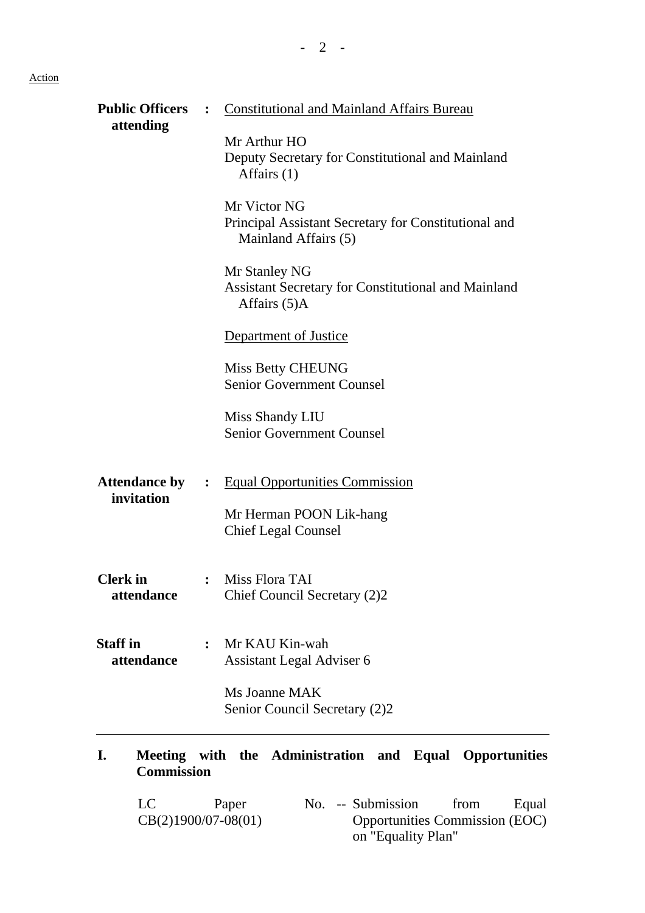## Action

| <b>Public Officers</b>             |                | <b>Constitutional and Mainland Affairs Bureau</b>                                              |  |  |  |
|------------------------------------|----------------|------------------------------------------------------------------------------------------------|--|--|--|
| attending                          |                | Mr Arthur HO<br>Deputy Secretary for Constitutional and Mainland<br>Affairs $(1)$              |  |  |  |
|                                    |                | Mr Victor NG<br>Principal Assistant Secretary for Constitutional and<br>Mainland Affairs (5)   |  |  |  |
|                                    |                | Mr Stanley NG<br><b>Assistant Secretary for Constitutional and Mainland</b><br>Affairs (5)A    |  |  |  |
|                                    |                | Department of Justice                                                                          |  |  |  |
|                                    |                | <b>Miss Betty CHEUNG</b><br><b>Senior Government Counsel</b>                                   |  |  |  |
|                                    |                | Miss Shandy LIU<br><b>Senior Government Counsel</b>                                            |  |  |  |
| <b>Attendance by</b><br>invitation | $\ddot{\cdot}$ | <b>Equal Opportunities Commission</b><br>Mr Herman POON Lik-hang<br><b>Chief Legal Counsel</b> |  |  |  |
| <b>Clerk</b> in<br>attendance      |                | Miss Flora TAI<br>Chief Council Secretary (2)2                                                 |  |  |  |
| <b>Staff</b> in<br>attendance      | $\ddot{\cdot}$ | Mr KAU Kin-wah<br>Assistant Legal Adviser 6                                                    |  |  |  |
|                                    |                | Ms Joanne MAK<br>Senior Council Secretary (2)2                                                 |  |  |  |
| I.<br><b>Commission</b>            |                | Meeting with the Administration and Equal Opportunities                                        |  |  |  |
| LC                                 |                | Paper<br>No. -- Submission<br>from<br>Equal                                                    |  |  |  |

Opportunities Commission (EOC)

on "Equality Plan"

CB(2)1900/07-08(01)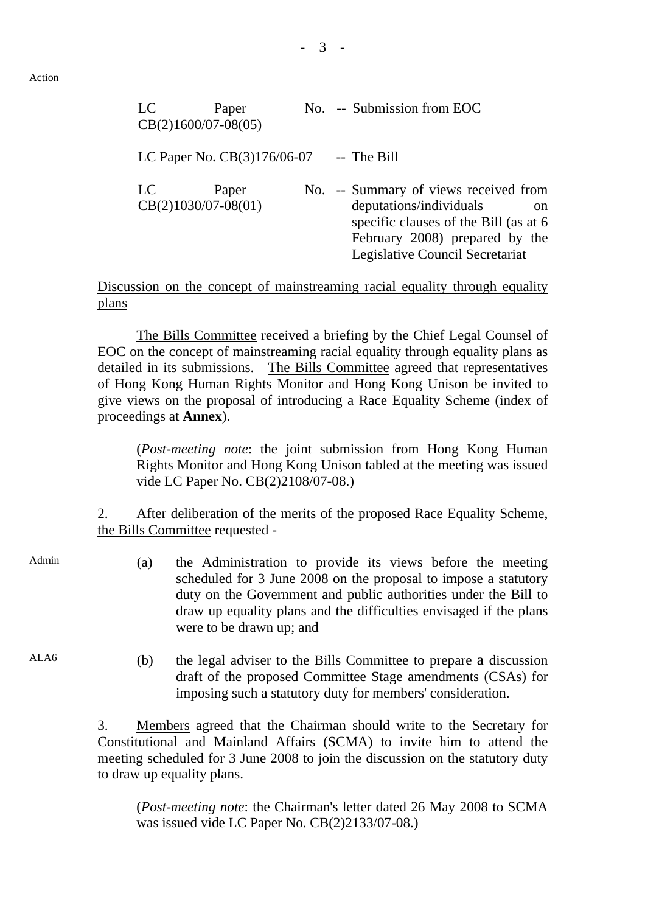Action

| LC<br>$CB(2)1600/07-08(05)$ | Paper                         |  | No. -- Submission from EOC                                                                                                                                                                       |
|-----------------------------|-------------------------------|--|--------------------------------------------------------------------------------------------------------------------------------------------------------------------------------------------------|
|                             | LC Paper No. $CB(3)176/06-07$ |  | -- The Bill                                                                                                                                                                                      |
| LC<br>$CB(2)1030/07-08(01)$ | Paper                         |  | No. -- Summary of views received from<br>deputations/individuals<br><sub>on</sub><br>specific clauses of the Bill (as at 6)<br>February 2008) prepared by the<br>Legislative Council Secretariat |

Discussion on the concept of mainstreaming racial equality through equality plans

1. The Bills Committee received a briefing by the Chief Legal Counsel of EOC on the concept of mainstreaming racial equality through equality plans as detailed in its submissions. The Bills Committee agreed that representatives of Hong Kong Human Rights Monitor and Hong Kong Unison be invited to give views on the proposal of introducing a Race Equality Scheme (index of proceedings at **Annex**).

(*Post-meeting note*: the joint submission from Hong Kong Human Rights Monitor and Hong Kong Unison tabled at the meeting was issued vide LC Paper No. CB(2)2108/07-08.)

2. After deliberation of the merits of the proposed Race Equality Scheme, the Bills Committee requested -

- 
- Admin (a) the Administration to provide its views before the meeting scheduled for 3 June 2008 on the proposal to impose a statutory duty on the Government and public authorities under the Bill to draw up equality plans and the difficulties envisaged if the plans were to be drawn up; and
- ALA6 (b) the legal adviser to the Bills Committee to prepare a discussion draft of the proposed Committee Stage amendments (CSAs) for imposing such a statutory duty for members' consideration.

3. Members agreed that the Chairman should write to the Secretary for Constitutional and Mainland Affairs (SCMA) to invite him to attend the meeting scheduled for 3 June 2008 to join the discussion on the statutory duty to draw up equality plans.

(*Post-meeting note*: the Chairman's letter dated 26 May 2008 to SCMA was issued vide LC Paper No. CB(2)2133/07-08.)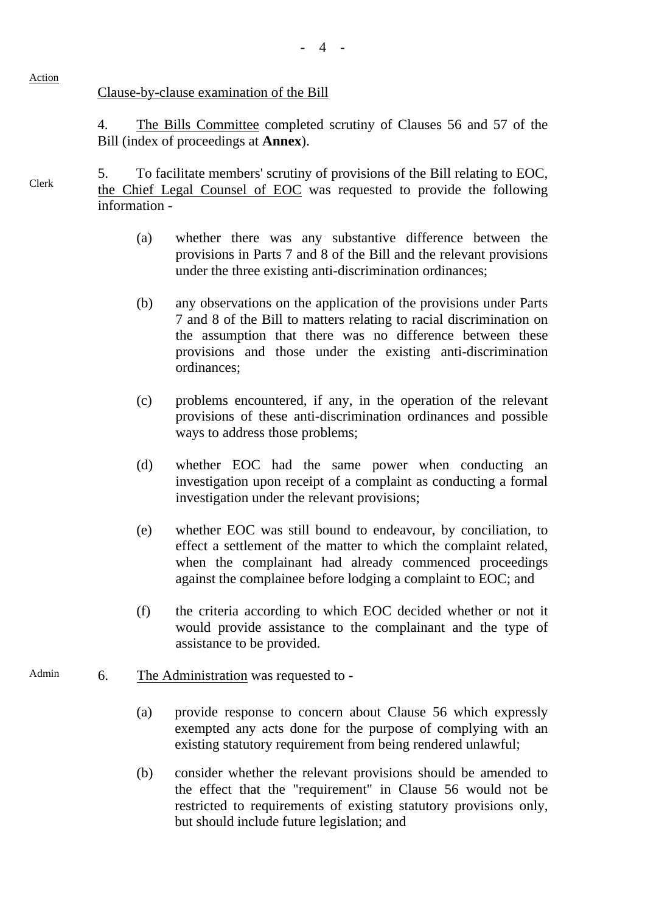#### Clause-by-clause examination of the Bill

4. The Bills Committee completed scrutiny of Clauses 56 and 57 of the Bill (index of proceedings at **Annex**).

5. To facilitate members' scrutiny of provisions of the Bill relating to EOC, the Chief Legal Counsel of EOC was requested to provide the following information -

- (a) whether there was any substantive difference between the provisions in Parts 7 and 8 of the Bill and the relevant provisions under the three existing anti-discrimination ordinances;
- (b) any observations on the application of the provisions under Parts 7 and 8 of the Bill to matters relating to racial discrimination on the assumption that there was no difference between these provisions and those under the existing anti-discrimination ordinances;
- (c) problems encountered, if any, in the operation of the relevant provisions of these anti-discrimination ordinances and possible ways to address those problems;
- (d) whether EOC had the same power when conducting an investigation upon receipt of a complaint as conducting a formal investigation under the relevant provisions;
- (e) whether EOC was still bound to endeavour, by conciliation, to effect a settlement of the matter to which the complaint related, when the complainant had already commenced proceedings against the complainee before lodging a complaint to EOC; and
- (f) the criteria according to which EOC decided whether or not it would provide assistance to the complainant and the type of assistance to be provided.
- Admin 6. The Administration was requested to -
	- (a) provide response to concern about Clause 56 which expressly exempted any acts done for the purpose of complying with an existing statutory requirement from being rendered unlawful;
	- (b) consider whether the relevant provisions should be amended to the effect that the "requirement" in Clause 56 would not be restricted to requirements of existing statutory provisions only, but should include future legislation; and

#### Action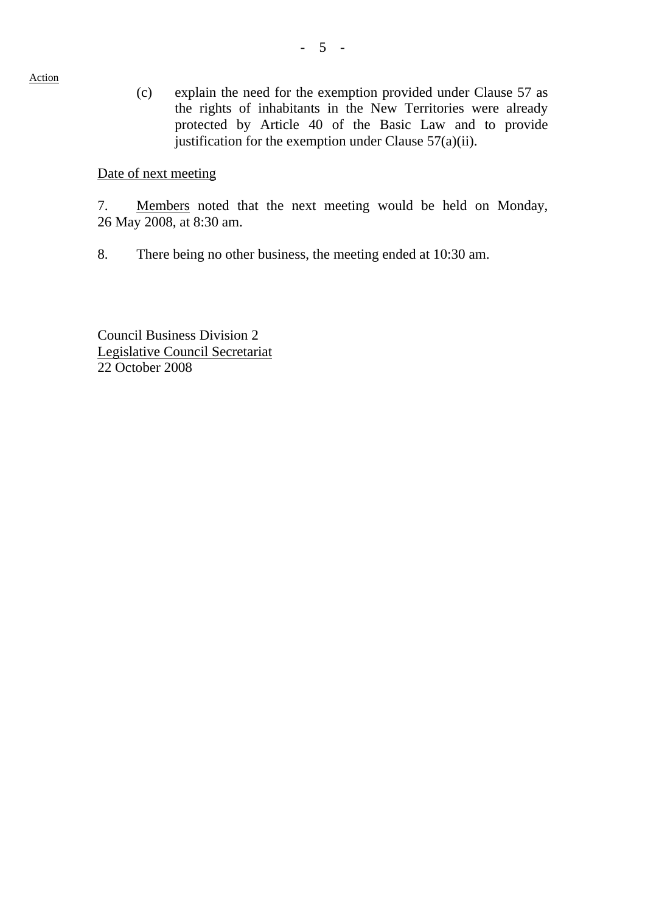Action

(c) explain the need for the exemption provided under Clause 57 as the rights of inhabitants in the New Territories were already protected by Article 40 of the Basic Law and to provide justification for the exemption under Clause  $57(a)(ii)$ .

### Date of next meeting

7. Members noted that the next meeting would be held on Monday, 26 May 2008, at 8:30 am.

8. There being no other business, the meeting ended at 10:30 am.

Council Business Division 2 Legislative Council Secretariat 22 October 2008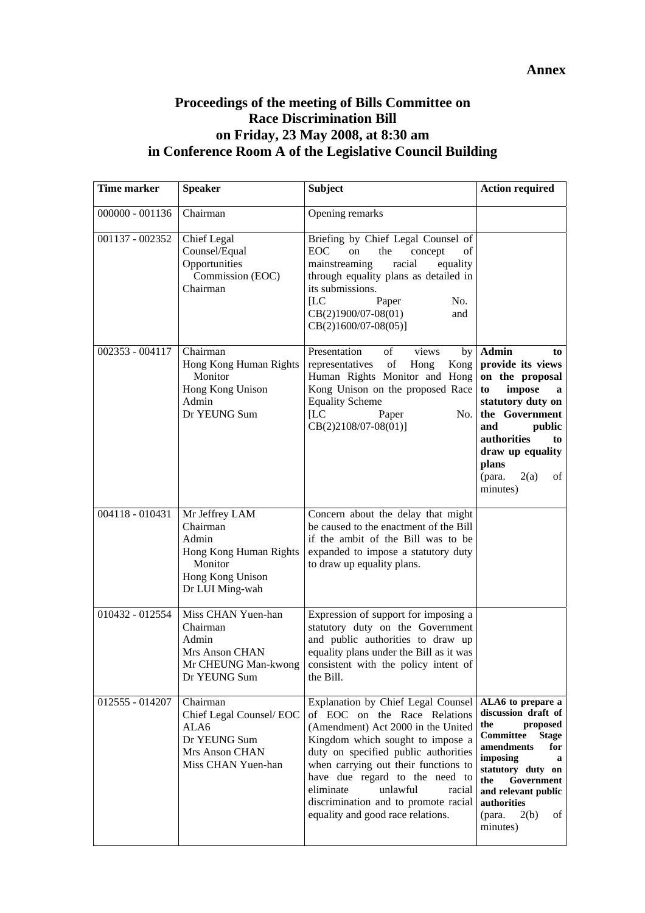# **Proceedings of the meeting of Bills Committee on Race Discrimination Bill on Friday, 23 May 2008, at 8:30 am in Conference Room A of the Legislative Council Building**

| Time marker       | <b>Speaker</b>                                                                                                  | <b>Subject</b>                                                                                                                                                                                                                                                                                                                                                                 | <b>Action required</b>                                                                                                                                                                                                                             |
|-------------------|-----------------------------------------------------------------------------------------------------------------|--------------------------------------------------------------------------------------------------------------------------------------------------------------------------------------------------------------------------------------------------------------------------------------------------------------------------------------------------------------------------------|----------------------------------------------------------------------------------------------------------------------------------------------------------------------------------------------------------------------------------------------------|
| $000000 - 001136$ | Chairman                                                                                                        | Opening remarks                                                                                                                                                                                                                                                                                                                                                                |                                                                                                                                                                                                                                                    |
| 001137 - 002352   | <b>Chief Legal</b><br>Counsel/Equal<br>Opportunities<br>Commission (EOC)<br>Chairman                            | Briefing by Chief Legal Counsel of<br>EOC<br>on<br>the<br>concept<br>of<br>mainstreaming<br>racial<br>equality<br>through equality plans as detailed in<br>its submissions.<br>[LC]<br>No.<br>Paper<br>CB(2)1900/07-08(01)<br>and<br>$CB(2)1600/07-08(05)]$                                                                                                                    |                                                                                                                                                                                                                                                    |
| 002353 - 004117   | Chairman<br>Hong Kong Human Rights<br>Monitor<br>Hong Kong Unison<br>Admin<br>Dr YEUNG Sum                      | Presentation<br>of<br>views<br>by<br>representatives<br>of<br>Kong<br>Hong<br>Human Rights Monitor and Hong<br>Kong Unison on the proposed Race<br><b>Equality Scheme</b><br>[LC]<br>Paper<br>No.<br>$CB(2)2108/07-08(01)]$                                                                                                                                                    | <b>Admin</b><br>to<br>provide its views<br>on the proposal<br>impose<br>to<br>a<br>statutory duty on<br>the Government<br>and<br>public<br>authorities<br>to<br>draw up equality<br>plans<br>(para.<br>2(a)<br>of<br>minutes)                      |
| 004118 - 010431   | Mr Jeffrey LAM<br>Chairman<br>Admin<br>Hong Kong Human Rights<br>Monitor<br>Hong Kong Unison<br>Dr LUI Ming-wah | Concern about the delay that might<br>be caused to the enactment of the Bill<br>if the ambit of the Bill was to be<br>expanded to impose a statutory duty<br>to draw up equality plans.                                                                                                                                                                                        |                                                                                                                                                                                                                                                    |
| 010432 - 012554   | Miss CHAN Yuen-han<br>Chairman<br>Admin<br>Mrs Anson CHAN<br>Dr YEUNG Sum                                       | Expression of support for imposing a<br>statutory duty on the Government<br>and public authorities to draw up<br>equality plans under the Bill as it was<br>Mr CHEUNG Man-kwong $\cos$ consistent with the policy intent of<br>the Bill.                                                                                                                                       |                                                                                                                                                                                                                                                    |
| 012555 - 014207   | Chairman<br>Chief Legal Counsel/EOC<br>ALA6<br>Dr YEUNG Sum<br>Mrs Anson CHAN<br>Miss CHAN Yuen-han             | Explanation by Chief Legal Counsel<br>of EOC on the Race Relations<br>(Amendment) Act 2000 in the United<br>Kingdom which sought to impose a<br>duty on specified public authorities<br>when carrying out their functions to<br>have due regard to the need to<br>eliminate<br>unlawful<br>racial<br>discrimination and to promote racial<br>equality and good race relations. | ALA6 to prepare a<br>discussion draft of<br>the<br>proposed<br>Committee<br><b>Stage</b><br>amendments<br>for<br>imposing<br>a<br>statutory duty on<br>the<br>Government<br>and relevant public<br>authorities<br>2(b)<br>of<br>(para.<br>minutes) |